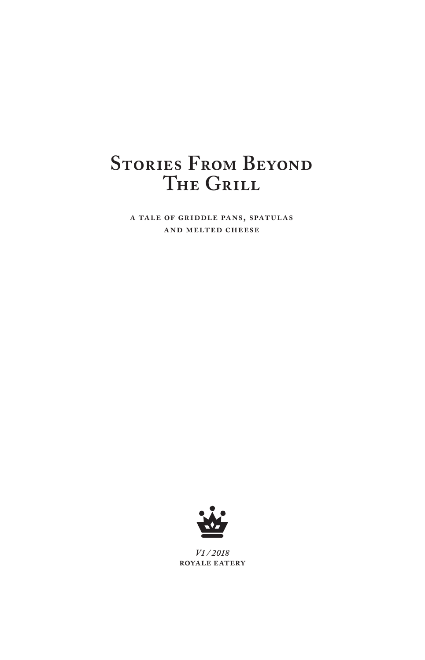## **Stories From Beyond The Grill**

**a tale of griddle pans, spatulas and melted cheese**



*V1 / 2018*  **royale eatery**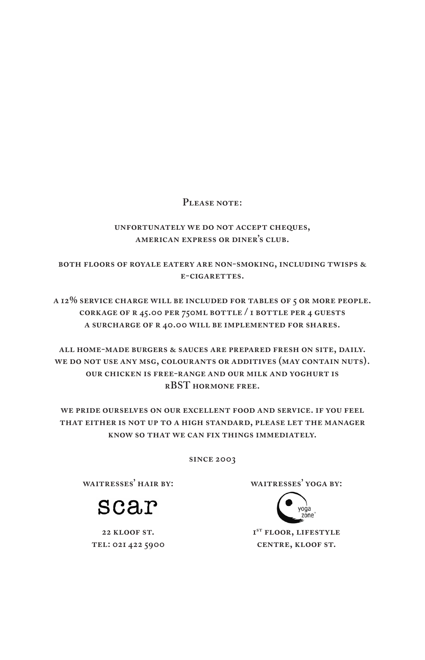#### **Please note:**

#### **unfortunately we do not accept cheques, american express or diner's club.**

**both floors of royale eatery are non-smoking, including twisps & e-cigarettes.**

**a 12% service charge will be included for tables of 5 or more people. corkage of r 45.00 per 750ml bottle / 1 bottle per 4 guests a surcharge of r 40.00 will be implemented for shares.**

**all home-made burgers & sauces are prepared fresh on site, daily.**  WE DO NOT USE ANY MSG, COLOURANTS OR ADDITIVES (MAY CONTAIN NUTS). **our chicken is free-range and our milk and yoghurt is rBST hormone free.**

**we pride ourselves on our excellent food and service. if you feel that either is not up to a high standard, please let the manager know so that we can fix things immediately.** 

**since 2003** 

**waitresses' hair by:** 

scar

**22 kloof st. tel: 021 422 5900** **waitresses' yoga by:** 



**1st floor, lifestyle centre, kloof st.**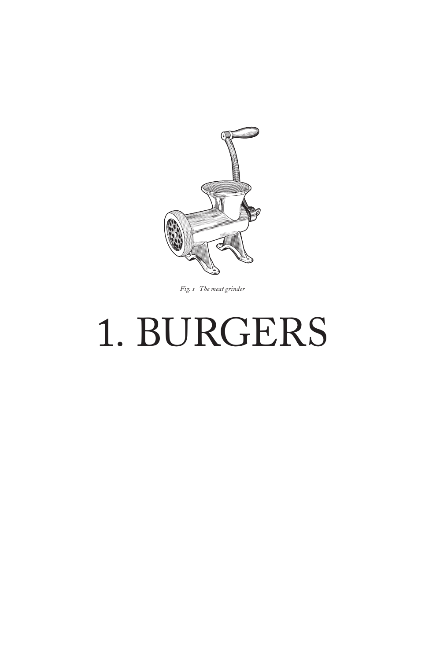

*Fig. 1 The meat grinder*

# 1. BURGERS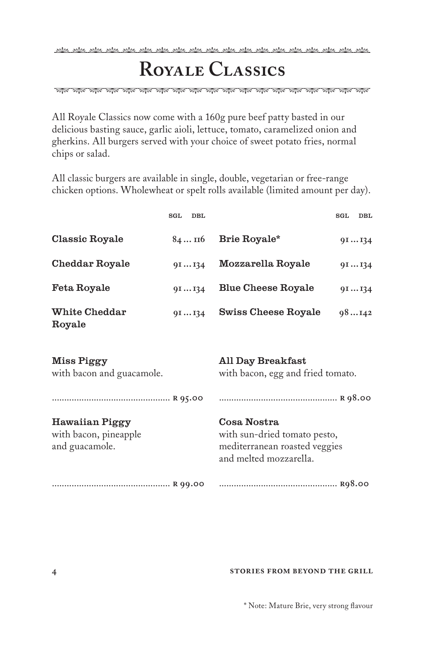<u>, sta , sta , sta , sta , sta , sta , sta , sta , sta , sta , sta , sta , sta , sta , sta , sta , sta , sta , s</u>

# **Royale Classics**

ৰিয়া ৰাজ্য কৰি আৰু আৰু প্ৰতি কৰি আৰু আৰু প্ৰতি কৰি আৰু আৰু পৰীক পৰীক কৰি পৰীক পৰীক পৰীক পৰীক

All Royale Classics now come with a 160g pure beef patty basted in our delicious basting sauce, garlic aioli, lettuce, tomato, caramelized onion and gherkins. All burgers served with your choice of sweet potato fries, normal chips or salad.

All classic burgers are available in single, double, vegetarian or free-range chicken options. Wholewheat or spelt rolls available (limited amount per day).

|                                                           | SGL | DBL                                                    |                                                                                                        | SGL | DBL   |
|-----------------------------------------------------------|-----|--------------------------------------------------------|--------------------------------------------------------------------------------------------------------|-----|-------|
| Classic Royale                                            |     | 84116                                                  | Brie Royale*                                                                                           |     | 9II34 |
| Cheddar Royale                                            |     | 9II34                                                  | Mozzarella Royale                                                                                      |     | 91134 |
| Feta Royale                                               |     | 9II34                                                  | <b>Blue Cheese Royale</b>                                                                              |     | 91134 |
| White Cheddar<br>Royale                                   |     | 91134                                                  | <b>Swiss Cheese Royale</b>                                                                             |     | 98142 |
| Miss Piggy<br>with bacon and guacamole.                   |     | All Day Breakfast<br>with bacon, egg and fried tomato. |                                                                                                        |     |       |
|                                                           |     |                                                        |                                                                                                        |     |       |
| Hawaiian Piggy<br>with bacon, pineapple<br>and guacamole. |     |                                                        | Cosa Nostra<br>with sun-dried tomato pesto,<br>mediterranean roasted veggies<br>and melted mozzarella. |     |       |
|                                                           |     |                                                        |                                                                                                        |     |       |

#### **stories from beyond the grill**

\* Note: Mature Brie, very strong flavour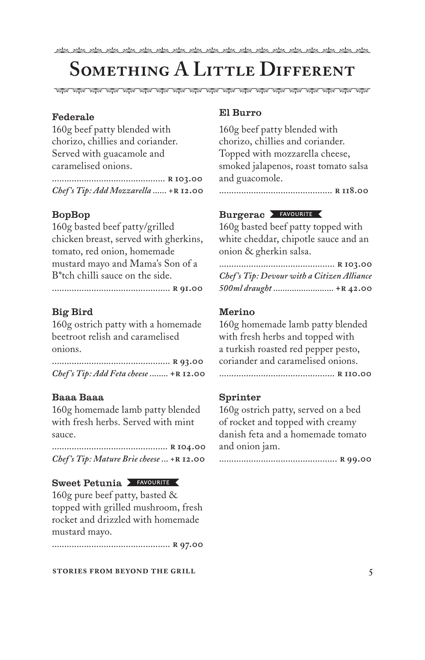# **Something A Little Different**

#### Federale

160g beef patty blended with chorizo, chillies and coriander. Served with guacamole and caramelised onions.

.............................................. **r 103.00** *Chef 's Tip: Add Mozzarella ...... +***r 12.00**

#### BopBop

160g basted beef patty/grilled chicken breast, served with gherkins, tomato, red onion, homemade mustard mayo and Mama's Son of a B\*tch chilli sauce on the side.

................................................ **r 91.00**

#### Big Bird

160g ostrich patty with a homemade beetroot relish and caramelised onions.

................................................ **r 93.00** *Chef 's Tip: Add Feta cheese ........* **+r 12.00**

#### Baaa Baaa

160g homemade lamb patty blended with fresh herbs. Served with mint sauce.

............................................... **r 104.00** *Chef 's Tip: Mature Brie cheese ... +***r 12.00**

#### Sweet Petunia FAVOURITE

160g pure beef patty, basted & topped with grilled mushroom, fresh rocket and drizzled with homemade mustard mayo.

................................................ **r 97.00**

#### **stories from beyond the grill**

#### El Burro

160g beef patty blended with chorizo, chillies and coriander. Topped with mozzarella cheese, smoked jalapenos, roast tomato salsa and guacomole.

.............................................. **r 118.00**

#### Burgerac FAVOURITE

160g basted beef patty topped with white cheddar, chipotle sauce and an onion & gherkin salsa.

............................................... **r 103.00** *Chef 's Tip: Devour with a Citizen Alliance 500ml draught ..........................* **+r 42.00**

#### Merino

160g homemade lamb patty blended with fresh herbs and topped with a turkish roasted red pepper pesto, coriander and caramelised onions.

............................................... **r 110.00**

#### Sprinter

160g ostrich patty, served on a bed of rocket and topped with creamy danish feta and a homemade tomato and onion jam.

................................................ **r 99.00**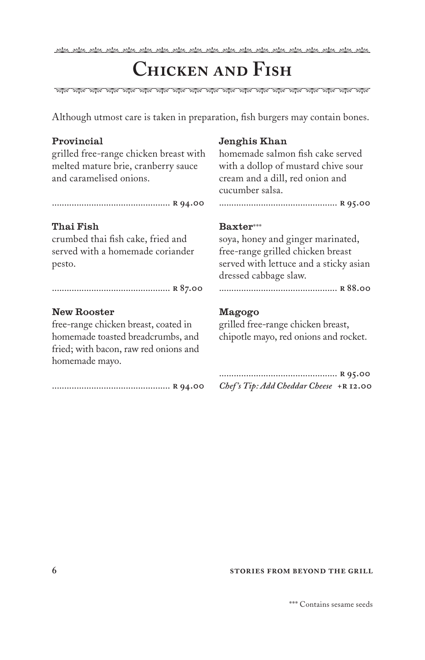<u>, sta , sta , sta , sta , sta , sta , sta , sta , sta , sta , sta , sta , sta , sta , sta , sta , sta , sta , s</u>

### **Chicken and Fish**

, প্ৰাপ্ত, প্ৰাপ, প্ৰাপ, প্ৰাপ, প্ৰাপ, প্ৰাপ, প্ৰাপ, প্ৰাপ, প্ৰাপ, প্ৰাপ, প্ৰাপ, প্ৰাপ, প্ৰাপ, প্ৰাপ, প্ৰাপ, প্ৰাপ, প্ৰাপ, প্ৰাপ,

Although utmost care is taken in preparation, fish burgers may contain bones.

#### Provincial

grilled free-range chicken breast with melted mature brie, cranberry sauce and caramelised onions.

................................................ **r 94.00**

#### Thai Fish

crumbed thai fish cake, fried and served with a homemade coriander pesto.

................................................ **r 87.00**

#### New Rooster

free-range chicken breast, coated in homemade toasted breadcrumbs, and fried; with bacon, raw red onions and homemade mayo.

................................................ **r 94.00**

#### Jenghis Khan

homemade salmon fish cake served with a dollop of mustard chive sour cream and a dill, red onion and cucumber salsa.

................................................ **r 95.00**

#### Baxter\*\*\*

soya, honey and ginger marinated, free-range grilled chicken breast served with lettuce and a sticky asian dressed cabbage slaw.

................................................ **r 88.00**

#### Magogo

grilled free-range chicken breast, chipotle mayo, red onions and rocket.

................................................ **r 95.00** *Chef 's Tip: Add Cheddar Cheese +***r 12.00**

#### **6 6 stories FROM BEYOND THE GRILL**

\*\*\* Contains sesame seeds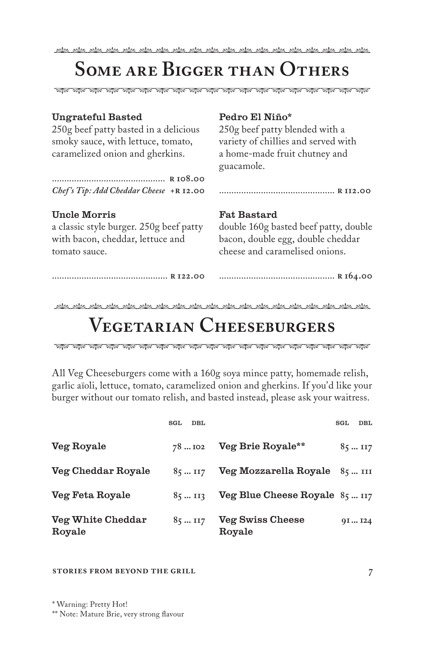## **Some are Bigger than Others**

এয়াঙ, প্রাঞ্জ, প্রাঞ্জ, প্রাঞ্জ, প্রাঞ্জ, প্রাঞ্জ, প্রাঞ্জ, প্রাঞ্জ, প্রাঞ্জ, প্রাঞ্জ, প্রাঞ্জ, প্রাঞ্জ, প্রাঞ্জ, প্রাঞ্জ,

#### Ungrateful Basted

250g beef patty basted in a delicious smoky sauce, with lettuce, tomato, caramelized onion and gherkins.

.............................................. **r 108.00** *Chef 's Tip: Add Cheddar Cheese +***r 12.00**

#### Uncle Morris

a classic style burger. 250g beef patty with bacon, cheddar, lettuce and tomato sauce.

#### Pedro El Niño\*

250g beef patty blended with a variety of chillies and served with a home-made fruit chutney and guacamole.

............................................... **r 112.00**

#### Fat Bastard

double 160g basted beef patty, double bacon, double egg, double cheddar cheese and caramelised onions.

............................................... **r 122.00**

#### ............................................... **r 164.00**

# **Vegetarian Cheeseburgers**

All Veg Cheeseburgers come with a 160g soya mince patty, homemade relish, garlic aïoli, lettuce, tomato, caramelized onion and gherkins. If you'd like your burger without our tomato relish, and basted instead, please ask your waitress.

|                             | SGL | DBL            |                                   | SGL | DBL            |
|-----------------------------|-----|----------------|-----------------------------------|-----|----------------|
| Veg Royale                  |     | 78102          | Veg Brie Royale**                 |     | $85 \dots 117$ |
| Veg Cheddar Royale          |     | $85 \dots 117$ | Veg Mozzarella Royale 85  III     |     |                |
| Veg Feta Royale             |     | $85 \dots 113$ | Veg Blue Cheese Royale 85  117    |     |                |
| Veg White Cheddar<br>Royale |     | $85 \dots 117$ | <b>Veg Swiss Cheese</b><br>Royale |     | 9II24          |

#### **stories from beyond the grill**

\* Warning: Pretty Hot!

\*\* Note: Mature Brie, very strong flavour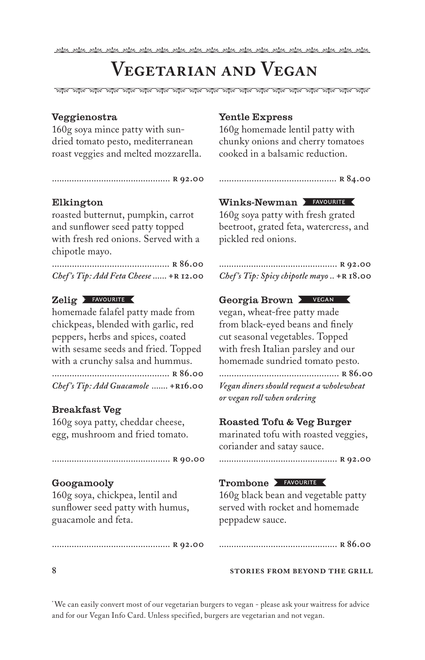## **Vegetarian and Vegan**

ৰিয়া ৰাজ্য কৰি আৰু আৰু প্ৰতি কৰি আৰু আৰু প্ৰতি কৰি আৰু আৰু পৰীক পৰীক কৰি পৰীক পৰীক পৰীক পৰীক

#### Veggienostra

160g soya mince patty with sundried tomato pesto, mediterranean roast veggies and melted mozzarella.

................................................ **r 92.00**

#### Elkington

roasted butternut, pumpkin, carrot and sunflower seed patty topped with fresh red onions. Served with a chipotle mayo.

............................................... **r 86.00** *Chef 's Tip: Add Feta Cheese ......* **+r 12.00**

#### Zelig > FAVOURITE

homemade falafel patty made from chickpeas, blended with garlic, red peppers, herbs and spices, coated with sesame seeds and fried. Topped with a crunchy salsa and hummus.

............................................... **r 86.00** Chef's Tip: Add Guacamole ....... +R16.00

#### Breakfast Veg

160g soya patty, cheddar cheese, egg, mushroom and fried tomato.

................................................ **r 90.00**

#### Googamooly

160g soya, chickpea, lentil and sunflower seed patty with humus, guacamole and feta.

................................................ **r 92.00**

#### Yentle Express

160g homemade lentil patty with chunky onions and cherry tomatoes cooked in a balsamic reduction.

............................................... **r 84.00**

#### Winks-Newman > FAVOURITE

160g soya patty with fresh grated beetroot, grated feta, watercress, and pickled red onions.

................................................ **r 92.00**  *Chef's Tip: Spicy chipotle mayo* .. **+R 18.00** 

#### Georgia Brown **X** VEGAN

vegan, wheat-free patty made from black-eyed beans and finely cut seasonal vegetables. Topped with fresh Italian parsley and our homemade sundried tomato pesto.

................................................ **r 86.00** *Vegan diners should request a wholewheat or vegan roll when ordering*

#### Roasted Tofu & Veg Burger

marinated tofu with roasted veggies, coriander and satay sauce.

................................................ **r 92.00**

#### Trombone FAVOURITE

160g black bean and vegetable patty served with rocket and homemade peppadew sauce.

|--|--|--|

#### **stories from beyond the grill**

\* We can easily convert most of our vegetarian burgers to vegan - please ask your waitress for advice and for our Vegan Info Card. Unless specified, burgers are vegetarian and not vegan.

**8**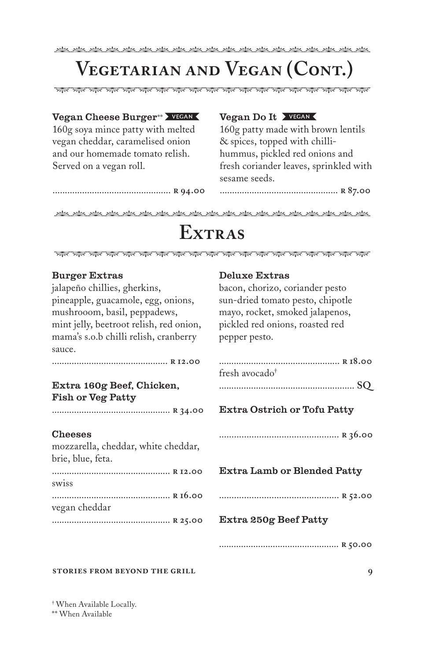## **Vegetarian and Vegan (Cont.)**

#### Vegan Cheese Burger\*\* > VEGAN

160g soya mince patty with melted vegan cheddar, caramelised onion and our homemade tomato relish. Served on a vegan roll.

................................................ **r 94.00**

#### Vegan Do It

160g patty made with brown lentils & spices, topped with chillihummus, pickled red onions and fresh coriander leaves, sprinkled with sesame seeds.

................................................ **r 87.00**

## Extras

, প্ৰাক, প্ৰাক, প্ৰাক, প্ৰাক, প্ৰাক, প্ৰাক, প্ৰাক, প্ৰাক, প্ৰাক, প্ৰাক, প্ৰাক, প্ৰাক, প্ৰাক, প্ৰাক, প্ৰাক, প্ৰাক, প্ৰাক,

#### Burger Extras

jalapeño chillies, gherkins, pineapple, guacamole, egg, onions, mushrooom, basil, peppadews, mint jelly, beetroot relish, red onion, mama's s.o.b chilli relish, cranberry sauce.

#### ............................................... **r 12.00**

#### Extra 160g Beef, Chicken, Fish or Veg Patty

................................................ **r 34.00**

#### Cheeses

| mozzarella, cheddar, white cheddar,<br>brie, blue, feta. |  |
|----------------------------------------------------------|--|
| R 12.00                                                  |  |
| swiss                                                    |  |
| R 16.00                                                  |  |
| vegan cheddar                                            |  |
|                                                          |  |

#### Deluxe Extras

bacon, chorizo, coriander pesto sun-dried tomato pesto, chipotle mayo, rocket, smoked jalapenos, pickled red onions, roasted red pepper pesto.

| fresh avocado† |  |
|----------------|--|
|                |  |

....................................................... **SQ**

#### Extra Ostrich or Tofu Patty

................................................ **r 36.00**

Extra Lamb or Blended Patty

................................................ **r 52.00**

#### Extra 250g Beef Patty

................................................. **r 50.00**

#### **stories from beyond the grill**

† When Available Locally.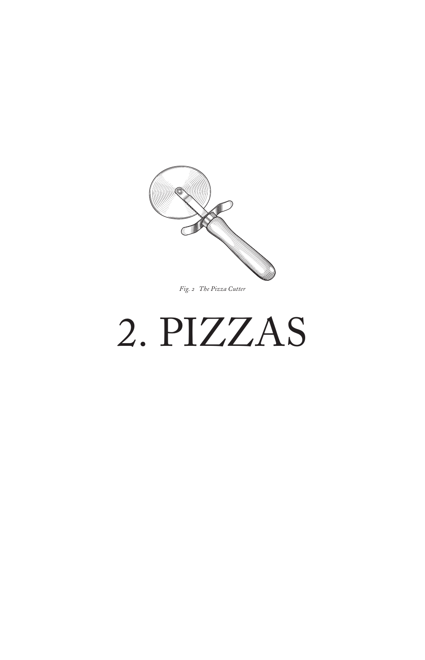

*Fig. 2 The Pizza Cutter*

# 2. PIZZAS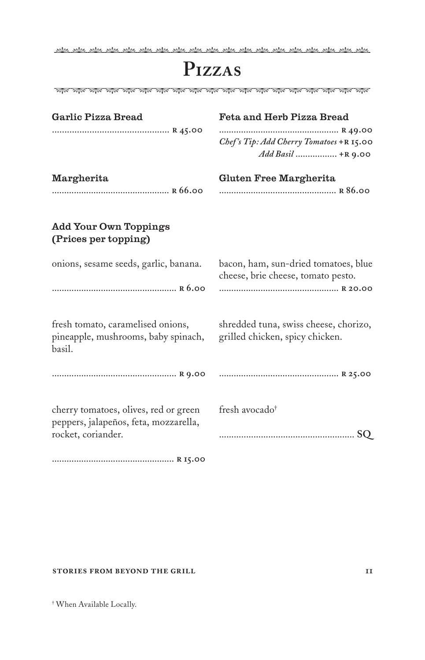<u>Ale pile, pile, pile, pile, pile, pile, pile, pile, pile, pile, pile, pile, pile, pile, pile, pile, pile, pile</u>,

### **Pizzas**

| Garlic Pizza Bread                                          | <b>Feta and Herb Pizza Bread</b>                                           |
|-------------------------------------------------------------|----------------------------------------------------------------------------|
|                                                             |                                                                            |
|                                                             | Chef's Tip: Add Cherry Tomatoes +R 15.00                                   |
|                                                             | Add Basil  +R 9.00                                                         |
| Margherita                                                  | Gluten Free Margherita                                                     |
|                                                             |                                                                            |
|                                                             |                                                                            |
| <b>Add Your Own Toppings</b><br>(Prices per topping)        |                                                                            |
| onions, sesame seeds, garlic, banana.                       | bacon, ham, sun-dried tomatoes, blue<br>cheese, brie cheese, tomato pesto. |
|                                                             |                                                                            |
| fresh tomato, caramelised onions,                           | shredded tuna, swiss cheese, chorizo,                                      |
| pineapple, mushrooms, baby spinach,<br>basil.               | grilled chicken, spicy chicken.                                            |
|                                                             |                                                                            |
| cherry tomatoes, olives, red or green                       | fresh avocado <sup>†</sup>                                                 |
| peppers, jalapeños, feta, mozzarella,<br>rocket, coriander. | SO.                                                                        |
|                                                             |                                                                            |

.................................................. **r 15.00**

#### **stories from beyond the grill**

† When Available Locally.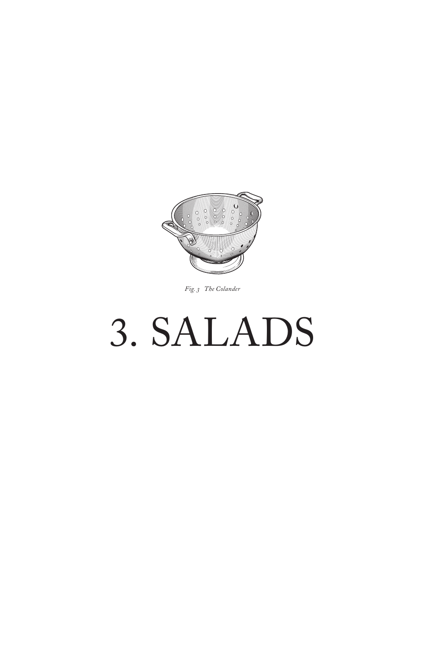

#### Fig. 3 The Colander

# 3. SALADS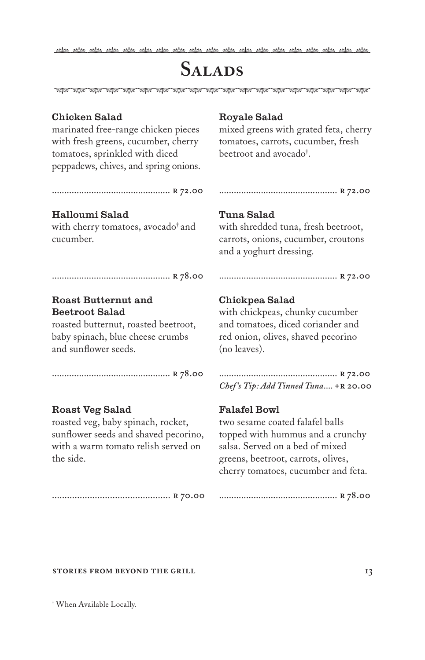<u>, sta , sta , sta , sta , sta , sta , sta , sta , sta , sta , sta , sta , sta , sta , sta , sta , sta , sta , s</u>

### **Salads**

এয়াঙ, প্রাঞ্জ, প্রাঞ্জ, প্রাঞ্জ, প্রাঞ্জ, প্রাঞ্জ, প্রাঞ্জ, প্রাঞ্জ, প্রাঞ্জ, প্রাঞ্জ, প্রাঞ্জ, প্রাঞ্জ, প্রাঞ্জ, প্রাঞ্জ,

#### Chicken Salad

marinated free-range chicken pieces with fresh greens, cucumber, cherry tomatoes, sprinkled with diced peppadews, chives, and spring onions.

#### Royale Salad

mixed greens with grated feta, cherry tomatoes, carrots, cucumber, fresh beetroot and avocado† .

................................................ **r 72.00** 

................................................ **r 72.00** 

#### Halloumi Salad

with cherry tomatoes, avocado† and cucumber.

#### Tuna Salad

with shredded tuna, fresh beetroot, carrots, onions, cucumber, croutons and a yoghurt dressing.

................................................ **r 72.00** 

................................................ **r 78.00**

#### Roast Butternut and Beetroot Salad

roasted butternut, roasted beetroot, baby spinach, blue cheese crumbs and sunflower seeds.

................................................ **r 78.00** 

#### Roast Veg Salad

roasted veg, baby spinach, rocket, sunflower seeds and shaved pecorino, with a warm tomato relish served on the side.

............................................... **r 70.00**

#### Chickpea Salad

with chickpeas, chunky cucumber and tomatoes, diced coriander and red onion, olives, shaved pecorino (no leaves).

................................................ **r 72.00** *Chef 's Tip: Add Tinned Tuna....* **+r 20.00**

#### Falafel Bowl

two sesame coated falafel balls topped with hummus and a crunchy salsa. Served on a bed of mixed greens, beetroot, carrots, olives, cherry tomatoes, cucumber and feta.

................................................ **r 78.00** 

#### **stories from beyond the grill**

† When Available Locally.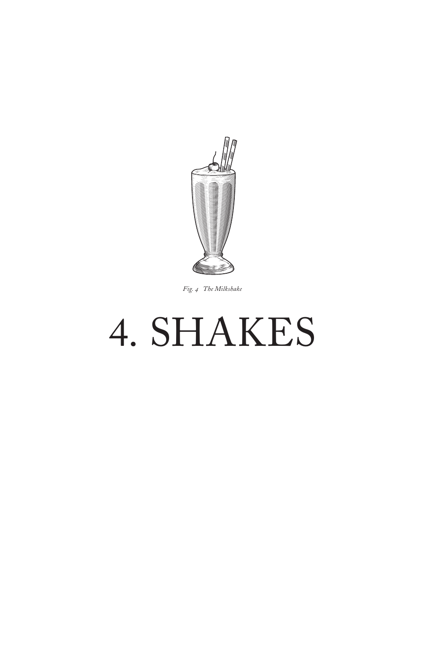

*Fig. 4 The Milkshake*

# 4. SHAKES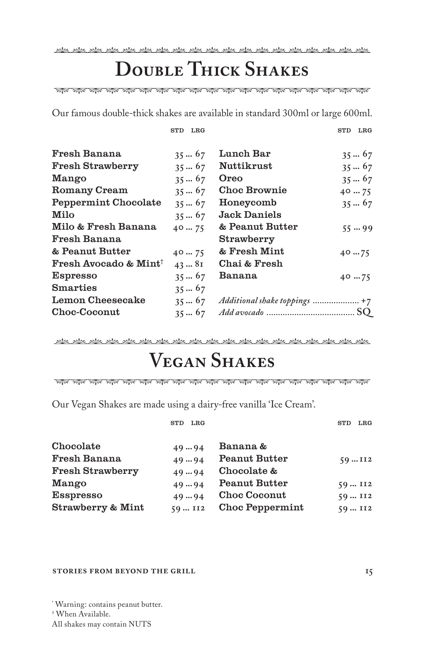# **Double Thick Shakes**

ৰিয়া ৰাজ্য কৰি আৰু আৰু প্ৰতি কৰি আৰু আৰু প্ৰতি কৰি আৰু আৰু পৰীক পৰীক কৰি পৰীক পৰীক পৰীক পৰীক

Our famous double-thick shakes are available in standard 300ml or large 600ml.

std LRG

| Fresh Banana                                | $35 - 67$     | Lunch Bar                     | $35 - 67$     |
|---------------------------------------------|---------------|-------------------------------|---------------|
| <b>Fresh Strawberry</b>                     | $35 - 67$     | <b>Nuttikrust</b>             | $35 - 67$     |
| Mango                                       | $35 - 67$     | Oreo                          | $35 \dots 67$ |
| Romany Cream                                | $35 - 67$     | <b>Choc Brownie</b>           | $40 \dots 75$ |
| Peppermint Chocolate                        | $35 - 67$     | Honeycomb                     | $35 \dots 67$ |
| Milo                                        | $35 \dots 67$ | <b>Jack Daniels</b>           |               |
| Milo & Fresh Banana                         | 40  75        | & Peanut Butter               | $55 - 99$     |
| Fresh Banana                                |               | Strawberry                    |               |
| & Peanut Butter                             | 4075          | & Fresh Mint                  | $40 - 75$     |
| <b>Fresh Avocado &amp; Mint<sup>†</sup></b> | $43 \dots 81$ | Chai & Fresh                  |               |
| <b>Espresso</b>                             | $35 \dots 67$ | Banana                        | $40 - 75$     |
| <b>Smarties</b>                             | $35 - 67$     |                               |               |
| Lemon Cheesecake                            | $35 \dots 67$ | Additional shake toppings  +7 |               |
| Choc-Coconut                                | $35 \dots 67$ |                               |               |
|                                             |               |                               |               |

بطلعل يطلعن يطلعن يطلعن يطلعن يطلعن يطلعن يطلعن يطلعن يطلعن يطلعن يطلعن يطلعن يطلعن يطلعن يطلعن يطلعن

# **Vegan Shakes**

Our Vegan Shakes are made using a dairy-free vanilla 'Ice Cream'.

|                         | LRG<br>$_{\rm STD}$ |                        | $_{\rm LRG}$<br>STD |
|-------------------------|---------------------|------------------------|---------------------|
| Chocolate               | 4994                | Banana &               |                     |
| Fresh Banana            | 4994                | <b>Peanut Butter</b>   | 59112               |
| <b>Fresh Strawberry</b> | 4994                | Chocolate &            |                     |
| Mango                   | $49 - 94$           | <b>Peanut Butter</b>   | 59112               |
| <b>Esspresso</b>        | $49 - 94$           | <b>Choc Coconut</b>    | 59  II2             |
| Strawberry & Mint       | 59  II2             | <b>Choc Peppermint</b> | 59112               |
|                         |                     |                        |                     |

#### **stories from beyond the grill**

\* Warning: contains peanut butter.

All shakes may contain NUTS

std LRG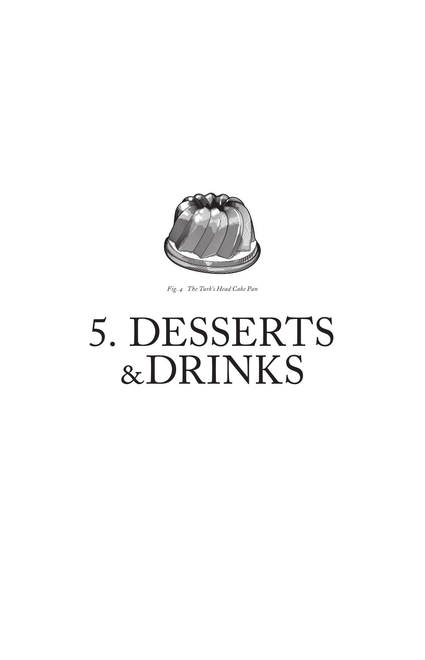

*Fig. 4 The Turk's Head Cake Pan*

# 5. DESSERTS &DRINKS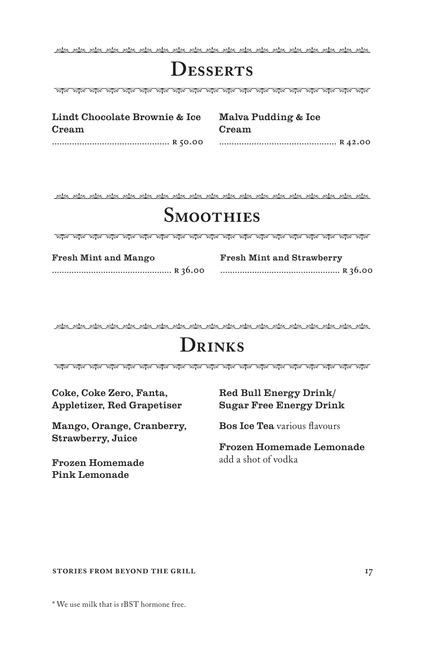### **Desserts**

Alika, Alika, Alika, Alika, Alika, Alika, Alika, Alika, Alika, Alika, Alika, Alika, Alika, Alika, Alika, Alika

Lindt Chocolate Brownie & Ice Cream ............................................... **r 50.00**  Malva Pudding & Ice Cream ............................................... **r 42.00**

### **Smoothies**

| Fresh Mint and Mango | <b>Fresh Mint and Strawberry</b> |
|----------------------|----------------------------------|
|                      |                                  |

# **Drinks**

কাৰে পাৰ্ক পাৰ্ক পাৰ্ক পাৰ্ক পাৰ্ক পাৰ্ক পাৰ্ক পাৰ্ক পাৰ্ক পাৰ্ক পাৰ্ক পাৰ্ক পাৰ্ক পাৰ্ক পাৰ্ক পাৰ্ক পাৰ্ক পাৰ

Coke, Coke Zero, Fanta, Appletizer, Red Grapetiser

Mango, Orange, Cranberry, Strawberry, Juice

Frozen Homemade Pink Lemonade

#### Red Bull Energy Drink/ Sugar Free Energy Drink

Bos Ice Tea various flavours

Frozen Homemade Lemonade add a shot of vodka

**17**

#### **stories from beyond the grill**

\* We use milk that is rBST hormone free.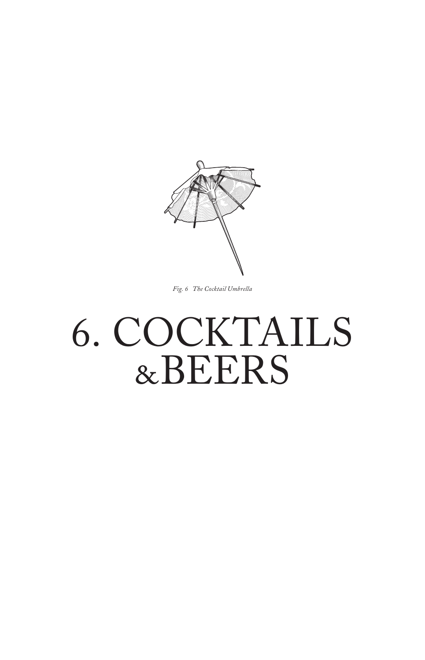

*Fig. 6 The Cocktail Umbrella*

# 6. COCKTAILS &BEERS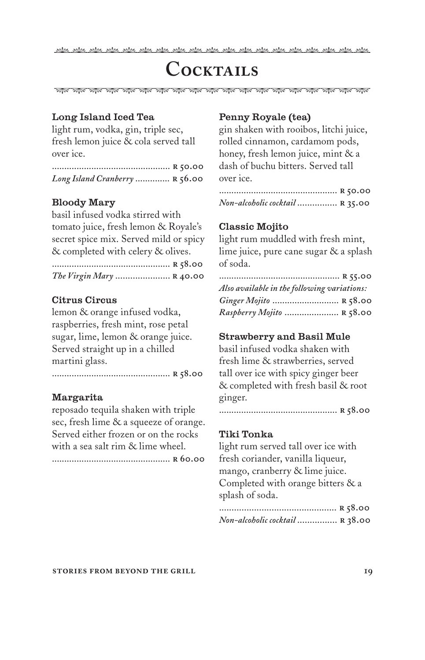why why why why why why why 

### **Cocktails**

এয়াঙ, প্রাঞ্জ, প্রাঞ্জ, প্রাঞ্জ, প্রাঞ্জ, প্রাঞ্জ, প্রাঞ্জ, প্রাঞ্জ, প্রাঞ্জ, প্রাঞ্জ, প্রাঞ্জ, প্রাঞ্জ, প্রাঞ্জ, প্রাঞ্জ,

#### Long Island Iced Tea

light rum, vodka, gin, triple sec, fresh lemon juice & cola served tall over ice.

| Long Island Cranberry  R 56.00 |  |
|--------------------------------|--|

#### Bloody Mary

basil infused vodka stirred with tomato juice, fresh lemon & Royale's secret spice mix. Served mild or spicy & completed with celery & olives.

| The Virgin Mary  R 40.00 |  |
|--------------------------|--|

#### Citrus Circus

lemon & orange infused vodka, raspberries, fresh mint, rose petal sugar, lime, lemon & orange juice. Served straight up in a chilled martini glass.

................................................ **r 58.00**

#### Margarita

reposado tequila shaken with triple sec, fresh lime & a squeeze of orange. Served either frozen or on the rocks with a sea salt rim & lime wheel.

................................................ **r 60.00**

#### Penny Royale (tea)

gin shaken with rooibos, litchi juice, rolled cinnamon, cardamom pods, honey, fresh lemon juice, mint & a dash of buchu bitters. Served tall over ice.

................................................ **r 50.00** *Non-alcoholic cocktail* ................ **r 35.00**

#### Classic Mojito

light rum muddled with fresh mint, lime juice, pure cane sugar & a splash of soda.

| Also available in the following variations: |  |
|---------------------------------------------|--|
| Ginger Mojito  R 58.00                      |  |
| Raspberry Mojito  R 58.00                   |  |

#### Strawberry and Basil Mule

basil infused vodka shaken with fresh lime & strawberries, served tall over ice with spicy ginger beer & completed with fresh basil & root ginger.

................................................ **r 58.00**

#### Tiki Tonka

light rum served tall over ice with fresh coriander, vanilla liqueur, mango, cranberry & lime juice. Completed with orange bitters & a splash of soda.

............................................... **r 58.00** *Non-alcoholic cocktail* ................ **r 38.00**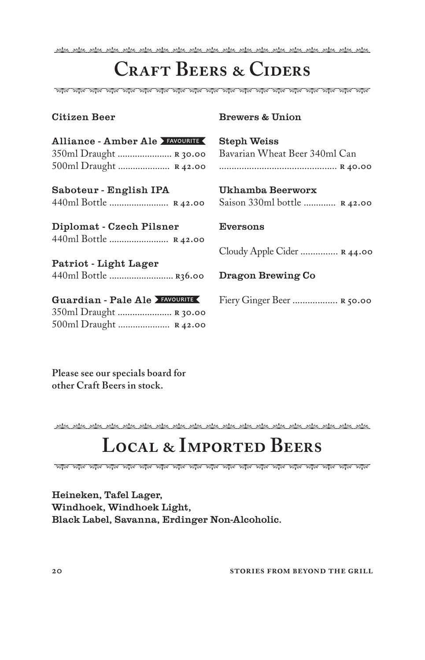## **Craft Beers & Ciders**

#### Citizen Beer

#### Brewers & Union

| Alliance - Amber Ale FAVOURITE<br>350ml Draught  R 30.00<br>500ml Draught  R 42.00 | <b>Steph Weiss</b><br>Bavarian Wheat Beer 340ml Can |  |
|------------------------------------------------------------------------------------|-----------------------------------------------------|--|
| Saboteur - English IPA                                                             | Ukhamba Beerworx                                    |  |
| 440ml Bottle  R 42.00                                                              | Saison 330ml bottle  R 42.00                        |  |
| Diplomat - Czech Pilsner<br>440ml Bottle  R 42.00                                  | Eversons                                            |  |
|                                                                                    | Cloudy Apple Cider $R$ 44.00                        |  |
| Patriot - Light Lager<br>440ml Bottle  R36.00                                      | Dragon Brewing Co                                   |  |
| Guardian - Pale Ale FAVOURITE<br>350ml Draught  R 30.00                            | Fiery Ginger Beer  R 50.00                          |  |

**Please see our specials board for other Craft Beers in stock.**

500ml Draught ..................... **r 42.00**

<u>, kts., kts., kts., kts., kts., kts., kts., kts., kts., kts., kts., kts., kts., kts., kts., kts., kts., kts.,</u>

### **Local & Imported Beers**

Heineken, Tafel Lager, Windhoek, Windhoek Light, Black Label, Savanna, Erdinger Non-Alcoholic.

**20 stories from beyond the grill**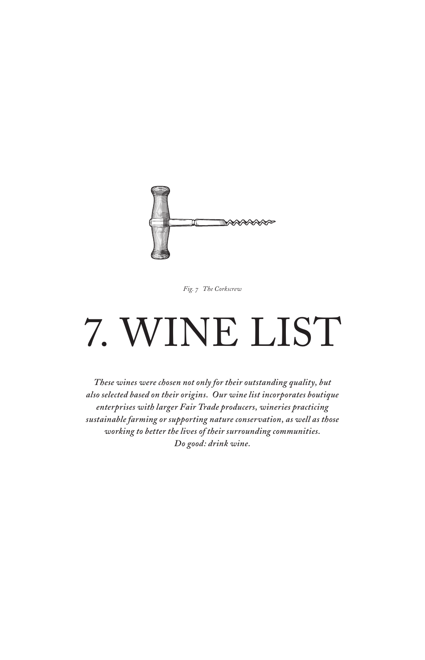

*Fig. 7 The Corkscrew*

# 7. WINE LIST

*These wines were chosen not only for their outstanding quality, but also selected based on their origins. Our wine list incorporates boutique enterprises with larger Fair Trade producers, wineries practicing sustainable farming or supporting nature conservation, as well as those working to better the lives of their surrounding communities. Do good: drink wine.*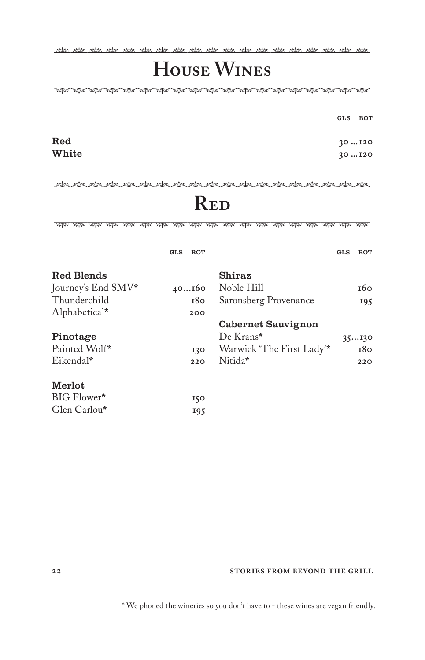2008. Ala , Ala , Ala , Ala , Ala , Ala , Ala , Ala , Ala , Ala , Ala , Ala , Ala , Ala , Ala , Ala , Ala , A

# **House Wines**

gls bot

| $_{\rm Red}$ | 30120 |
|--------------|-------|
| White        | 30120 |

### **Red**

| GLS | <b>BOT</b> |                           | GLS | BOT        |
|-----|------------|---------------------------|-----|------------|
|     |            | Shiraz                    |     |            |
|     |            | Noble Hill                |     | <b>т6о</b> |
|     | 180        | Saronsberg Provenance     |     | 195        |
|     | 200        |                           |     |            |
|     |            | Cabernet Sauvignon        |     |            |
|     |            | De Krans*                 |     | 35130      |
|     | 130        | Warwick 'The First Lady'* |     | 180        |
|     | 220        | Nitida*                   |     | 220        |
|     |            |                           |     |            |
|     | 150        |                           |     |            |
|     | 195        |                           |     |            |
|     |            | 40160                     |     |            |

#### **22 stories from beyond the grill**

\* We phoned the wineries so you don't have to - these wines are vegan friendly.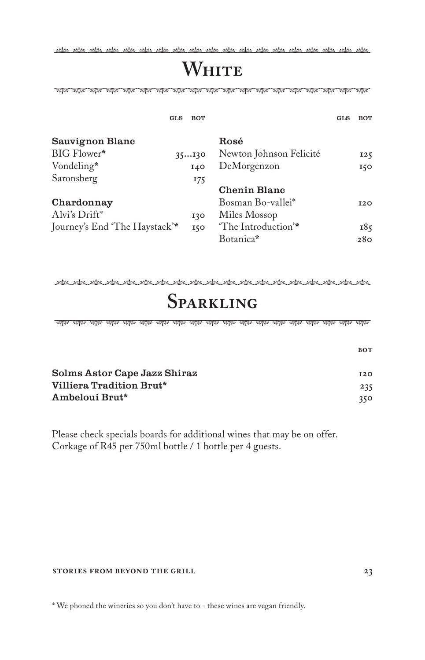### **WHITE**

ৰিয়া ৰাজ্য কৰি আৰু আৰু প্ৰতি কৰি আৰু আৰু প্ৰতি কৰি আৰু আৰু পৰীক পৰীক কৰি পৰীক পৰীক পৰীক পৰীক

| GLS                           | <b>BOT</b>     |                         | GLS | <b>BOT</b> |
|-------------------------------|----------------|-------------------------|-----|------------|
| Sauvignon Blanc               |                | Rosé                    |     |            |
| BIG Flower*                   | 35130          | Newton Johnson Felicité |     | 125        |
| Vondeling*                    | 140            | DeMorgenzon             |     | 150        |
| Saronsberg                    | <sup>175</sup> |                         |     |            |
|                               |                | Chenin Blanc            |     |            |
| Chardonnay                    |                | Bosman Bo-vallei*       |     | <b>I2O</b> |
| Alvi's Drift*                 | 130            | Miles Mossop            |     |            |
| Journey's End 'The Haystack'* | 150            | 'The Introduction'*     |     | 185        |
|                               |                | Botanica*               |     | 280        |

بمطعر بمطعر بمطعر بمطعر بمطعر بمطعر بمطعر بمطعر بمطعر بمطعر بمطعر بمطعر بمطعر بمطعر بمطعر بمطعر بمطعر بمطعر

### **Sparkling**

| Solms Astor Cape Jazz Shiraz | 120 |
|------------------------------|-----|
| Villiera Tradition Brut*     | 235 |
| Ambeloui Brut*               | 350 |

Please check specials boards for additional wines that may be on offer. Corkage of R45 per 750ml bottle / 1 bottle per 4 guests.

#### **stories from beyond the grill 23**

\* We phoned the wineries so you don't have to - these wines are vegan friendly.

**bot**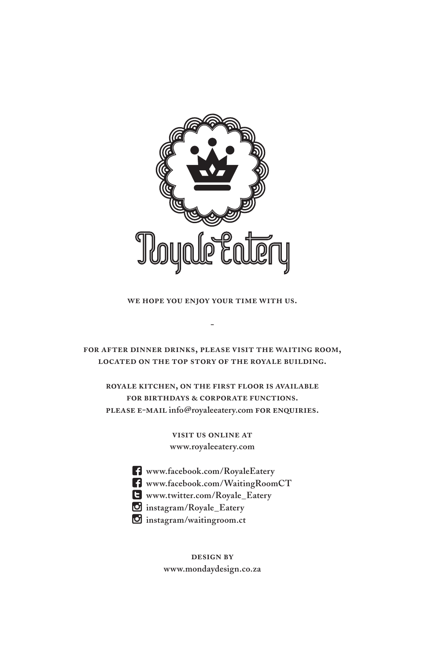

**we hope you enjoy your time with us.**

**-**

**for after dinner drinks, please visit the waiting room, located on the top story of the royale building.** 

**royale kitchen, on the first floor is available for birthdays & corporate functions. please e-mail info@royaleeatery.com for enquiries.** 

> **visit us online at www.royaleeatery.com**

- **www.facebook.com/RoyaleEatery**
- **www.facebook.com/WaitingRoomCT**
- **www.twitter.com/Royale\_Eatery**
- **instagram/Royale\_Eatery**
- **instagram/waitingroom.ct**

**design by www.mondaydesign.co.za**